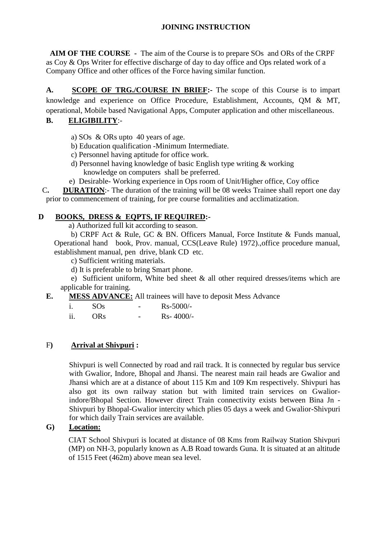## **JOINING INSTRUCTION**

 **AIM OF THE COURSE -** The aim of the Course is to prepare SOs and ORs of the CRPF as Coy & Ops Writer for effective discharge of day to day office and Ops related work of a Company Office and other offices of the Force having similar function.

**A. SCOPE OF TRG./COURSE IN BRIEF:-** The scope of this Course is to impart knowledge and experience on Office Procedure, Establishment, Accounts, QM & MT, operational, Mobile based Navigational Apps, Computer application and other miscellaneous.

## **B. ELIGIBILITY**:-

a) SOs & ORs upto 40 years of age.

- b) Education qualification -Minimum Intermediate.
- c) Personnel having aptitude for office work.
- d) Personnel having knowledge of basic English type writing & working knowledge on computers shall be preferred.
- e) Desirable- Working experience in Ops room of Unit/Higher office, Coy office

 C**. DURATION**:- The duration of the training will be 08 weeks Trainee shall report one day prior to commencement of training, for pre course formalities and acclimatization.

#### **D BOOKS, DRESS & EQPTS, IF REQUIRED:-**

a) Authorized full kit according to season.

b) CRPF Act & Rule, GC & BN. Officers Manual, Force Institute & Funds manual, Operational hand book, Prov. manual, CCS(Leave Rule) 1972).,office procedure manual, establishment manual, pen drive, blank CD etc.

c) Sufficient writing materials.

d) It is preferable to bring Smart phone.

 e) Sufficient uniform, White bed sheet & all other required dresses/items which are applicable for training.

#### **E. MESS ADVANCE:** All trainees will have to deposit Mess Advance

|             | SOS        | - | $Rs - 5000/-$ |
|-------------|------------|---|---------------|
| . .<br>-11. | <b>ORs</b> | - | $Rs-4000/-$   |

#### F**) Arrival at Shivpuri :**

Shivpuri is well Connected by road and rail track. It is connected by regular bus service with Gwalior, Indore, Bhopal and Jhansi. The nearest main rail heads are Gwalior and Jhansi which are at a distance of about 115 Km and 109 Km respectively. Shivpuri has also got its own railway station but with limited train services on Gwaliorindore/Bhopal Section. However direct Train connectivity exists between Bina Jn - Shivpuri by Bhopal-Gwalior intercity which plies 05 days a week and Gwalior-Shivpuri for which daily Train services are available.

#### **G) Location:**

CIAT School Shivpuri is located at distance of 08 Kms from Railway Station Shivpuri (MP) on NH-3, popularly known as A.B Road towards Guna. It is situated at an altitude of 1515 Feet (462m) above mean sea level.